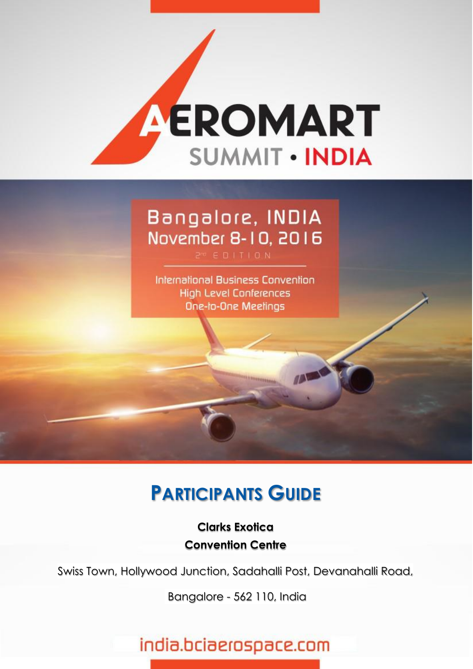

# Bangalore, INDIA November 8-10, 2016

International Business Convention **High Level Conferences** One-to-One Meetings

# **PARTICIPANTS GUIDE**

**Clarks Exotica Convention Centre**

Swiss Town, Hollywood Junction, Sadahalli Post, Devanahalli Road,

**abe - Advanced Business Events** Bangalore - 562 110, India

# india.bciaerospace.com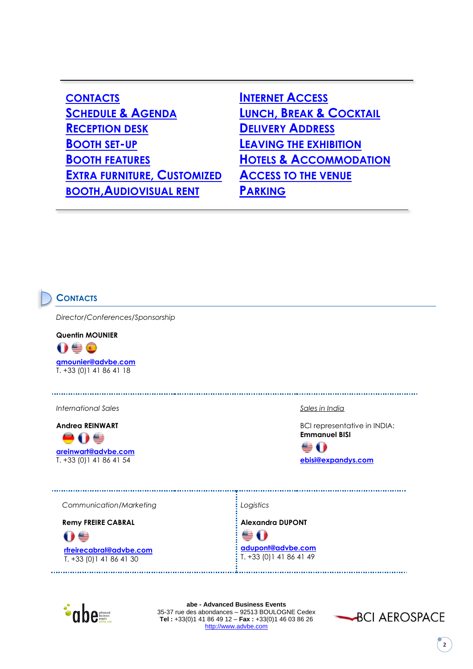| <b>CONTACTS</b>                    |
|------------------------------------|
| <b>SCHEDULE &amp; AGENDA</b>       |
| <b>RECEPTION DESK</b>              |
| <b>BOOTH SET-UP</b>                |
| <b>BOOTH FEATURES</b>              |
| <b>EXTRA FURNITURE, CUSTOMIZED</b> |
| <b>BOOTH, AUDIOVISUAL RENT</b>     |

**I[NTERNET](#page-3-1) ACCESS LUNCH, BREAK & C[OCKTAIL](#page-3-2) D[ELIVERY](#page-4-0) ADDRESS L[EAVING THE EXHIBITION](#page-4-1) HOTELS & A[CCOMMODATION](#page-4-2) A[CCESS TO THE VENUE](#page-5-0) P[ARKING](#page-6-0)**

### <span id="page-1-0"></span>**CONTACTS**

*Director/Conferences/Sponsorship*

**Quentin MOUNIER**  $\mathbf{0} \triangleq \mathbf{0}$ **[qmounier@advbe.com](mailto:qmounier@advbe.com)** T. +33 (0)1 41 86 41 18

*International Sales* 

**Andrea REINWART**

●0€ **[areinwart@advbe.com](mailto:areinwart@advbe.com)** T. +33 (0)1 41 86 41 54

*Sales in India*

BCI representative in INDIA: **Emmanuel BISI**



 *Communication/Marketing*

 **Remy FREIRE CABRAL**

09

 **[rfreirecabral@advbe.com](mailto:rfreirecabral@advbe.com)** T. +33 (0)1 41 86 41 30

*Logistics*

**Alexandra DUPONT**

**⊜ () [adupont@advbe.com](mailto:adupont@advbe.com)** T. +33 (0)1 41 86 41 49



**abe - Advanced Business Events** 35-37 rue des abondances – 92513 BOULOGNE Cedex **Tel :** +33(0)1 41 86 49 12 – **Fax :** +33(0)1 46 03 86 26 [http://www.advbe.com](http://www.advbe.com/)



**2**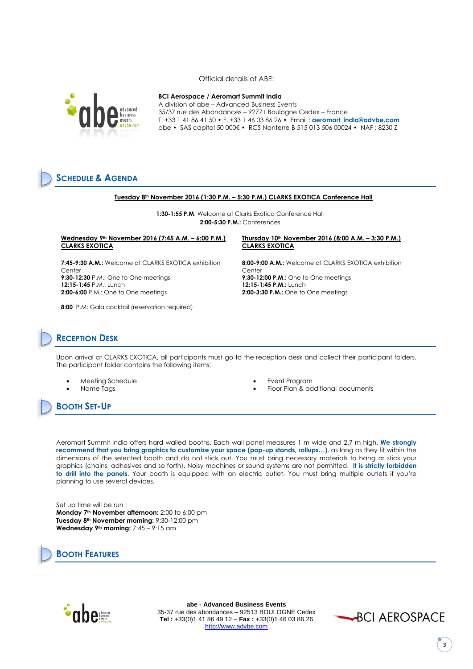Official details of ABE:



#### **BCI Aerospace / Aeromart Summit India**

A division of abe – Advanced Business Events<br>advanced and 25/37 rue des Abendereese, 89771 Beulemee d<sup>venced</sup> 35/37 rue des Abondances – 92771 Boulogne Cedex – France T. +33 1 41 86 41 50 • F. +33 1 46 03 86 26 • Email : **aeromart\_india@advbe.com** abe • SAS capital 50 000€ • RCS Nanterre B 515 013 506 00024 • NAF : 8230 Z

# <span id="page-2-0"></span>**SCHEDULE & AGENDA**

#### **Tuesday 8th November 2016 (1:30 P.M. – 5:30 P.M.) CLARKS EXOTICA Conference Hall**

**1:30-1:55 P.M**: Welcome at Clarks Exotica Conference Hall **2:00-5:30 P.M.:** Conferences

### **Wednesday 9th November 2016 (7:45 A.M. – 6:00 P.M.) CLARKS EXOTICA**

**7:45-9:30 A.M.:** Welcome at CLARKS EXOTICA exhibition Center **9:30-12:30** P.M.: One to One meetings **12:15-1:45** P.M.: Lunch **2:00-6:00** P.M.: One to One meetings

**8:00** P.M: Gala cocktail (reservation required)

#### **Thursday 10th November 2016 (8:00 A.M. – 3:30 P.M.) CLARKS EXOTICA**

**8:00-9:00 A.M.:** Welcome at CLARKS EXOTICA exhibition Center **9:30-12:00 P.M.:** One to One meetings **12:15-1:45 P.M.:** Lunch **2:00-3:30 P.M.:** One to One meetings

### <span id="page-2-1"></span>**RECEPTION DESK**

Upon arrival at CLARKS EXOTICA, all participants must go to the reception desk and collect their participant folders. The participant folder contains the following items:

- 
- 
- 
- Floor Plan & additional documents

<span id="page-2-2"></span>**BOOTH SET-UP**

Meeting Schedule Event Program

Aeromart Summit India offers hard walled booths. Each wall panel measures 1 m wide and 2.7 m high. **We strongly recommend that you bring graphics to customize your space (pop-up stands, rollups…)**, as long as they fit within the dimensions of the selected booth and do not stick out. You must bring necessary materials to hang or stick your graphics (chains, adhesives and so forth). Noisy machines or sound systems are not permitted. **It is strictly forbidden to drill into the panels**. Your booth is equipped with an electric outlet. You must bring multiple outlets if you're planning to use several devices.

Set up time will be run : **Monday 7th November afternoon:** 2:00 to 6:00 pm **Tuesday 8th November morning:** 9:30-12:00 pm **Wednesday 9th morning:** 7:45 – 9:15 am

# <span id="page-2-3"></span>**BOOTH FEATURES**



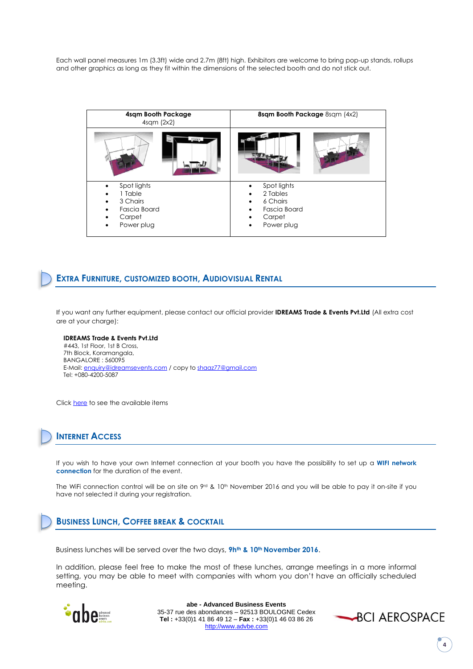Each wall panel measures 1m (3.3ft) wide and 2.7m (8ft) high. Exhibitors are welcome to bring pop-up stands, rollups and other graphics as long as they fit within the dimensions of the selected booth and do not stick out.

| 4sqm Booth Package<br>$4$ sqm $(2x2)$                                                                          | 8sqm Booth Package 8sqm (4x2)                                                    |
|----------------------------------------------------------------------------------------------------------------|----------------------------------------------------------------------------------|
|                                                                                                                |                                                                                  |
| Spot lights<br>٠<br>1 Table<br>3 Chairs<br>$\bullet$<br>Fascia Board<br>٠<br>Carpet<br>Power plug<br>$\bullet$ | Spot lights<br>2 Tables<br>6 Chairs<br>Fascia Board<br>Carpet<br>Power plug<br>٠ |

### <span id="page-3-0"></span>**EXTRA FURNITURE, CUSTOMIZED BOOTH, AUDIOVISUAL RENTAL**

If you want any further equipment, please contact our official provider **IDREAMS Trade & Events Pvt.Ltd** (All extra cost are at your charge):

**IDREAMS Trade & Events Pvt.Ltd** #443, 1st Floor, 1st B Cross, 7th Block, Koramangala, BANGALORE : 560095 E-Mail: [enquiry@idreamsevents.com](mailto:enquiry@idreamsevents.com) / copy t[o shaaz77@gmail.com](mailto:shaaz77@gmail.com) Tel: +080-4200-5087

Click [here](http://india.bciaerospace.com/images/2016/logistics/extraitems.pdf) to see the available items

# <span id="page-3-1"></span>**INTERNET ACCESS**

If you wish to have your own Internet connection at your booth you have the possibility to set up a **WIFI network connection** for the duration of the event.

The WiFi connection control will be on site on 9rd & 10th November 2016 and you will be able to pay it on-site if you have not selected it during your registration.

## <span id="page-3-2"></span>**BUSINESS LUNCH, COFFEE BREAK & COCKTAIL**

Business lunches will be served over the two days, **9hth & 10 th November 2016**.

In addition, please feel free to make the most of these lunches, arrange meetings in a more informal setting, you may be able to meet with companies with whom you don't have an officially scheduled meeting.



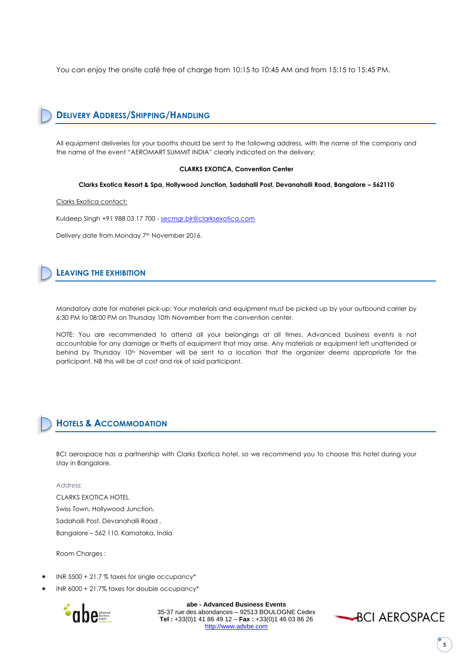You can enjoy the onsite café free of charge from 10:15 to 10:45 AM and from 15:15 to 15:45 PM.

# <span id="page-4-0"></span>**DELIVERY ADDRESS/SHIPPING/HANDLING**

All equipment deliveries for your booths should be sent to the following address, with the name of the company and the name of the event "AEROMART SUMMIT INDIA" clearly indicated on the delivery:

### **CLARKS EXOTICA, Convention Center**

**Clarks Exotica Resort & Spa, Hollywood Junction, Sadahalli Post, Devanahalli Road, Bangalore – 562110**

Clarks Exotica contact:

Kuldeep Singh +91 988 03 17 700 - [secmgr.blr@clarksexotica.com](mailto:secmgr.blr@clarksexotica.com)

Delivery date from Monday 7<sup>th</sup> November 2016.

### <span id="page-4-1"></span>**LEAVING THE EXHIBITION**

Mandatory date for materiel pick-up: Your materials and equipment must be picked up by your outbound carrier by 6:30 PM to 08:00 PM on Thursday 10th November from the convention center.

NOTE: You are recommended to attend all your belongings at all times. Advanced business events is not accountable for any damage or thefts of equipment that may arise. Any materials or equipment left unattended or behind by Thursday 10<sup>th</sup> November will be sent to a location that the organizer deems appropriate for the participant. NB this will be at cost and risk of said participant.

### <span id="page-4-2"></span>**HOTELS & ACCOMMODATION**

BCI aerospace has a partnership with Clarks Exotica hotel, so we recommend you to choose this hotel during your stay in Bangalore.

#### *Address:*

CLARKS EXOTICA HOTEL Swiss Town, Hollywood Junction, Sadahalli Post, Devanahalli Road , Bangalore – 562 110. Karnataka, India

Room Charges :

- INR 5500 + 21.7 % taxes for single occupancy\*
- INR 6000 + 21.7% taxes for double occupancy\*



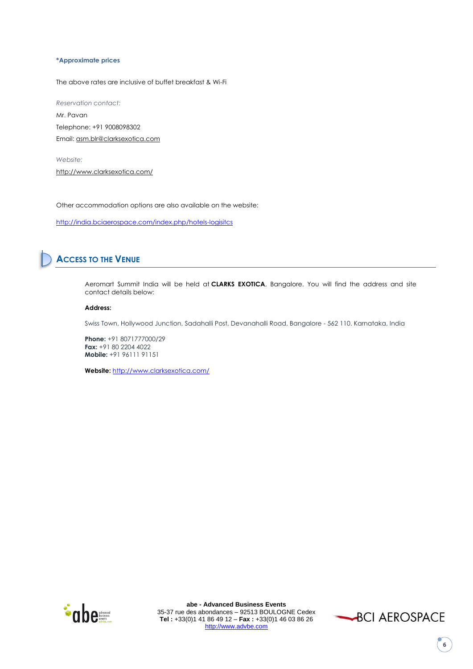### **\*Approximate prices**

The above rates are inclusive of buffet breakfast & Wi-Fi

*Reservation contact:* Mr. Pavan Telephone: +91 9008098302 Email: [asm.blr@clarksexotica.com](mailto:asm.blr@clarksexotica.com)

*Website:* <http://www.clarksexotica.com/>

Other accommodation options are also available on the website:

<http://india.bciaerospace.com/index.php/hotels-logisitcs>

# <span id="page-5-0"></span>**ACCESS TO THE VENUE**

Aeromart Summit India will be held at **CLARKS EXOTICA**, Bangalore. You will find the address and site contact details below:

### **Address:**

Swiss Town, Hollywood Junction, Sadahalli Post, Devanahalli Road, Bangalore - 562 110. Karnataka, India

**Phone:** +91 8071777000/29 **Fax:** +91 80 2204 4022 **Mobile:** +91 96111 91151

**Website:** <http://www.clarksexotica.com/>